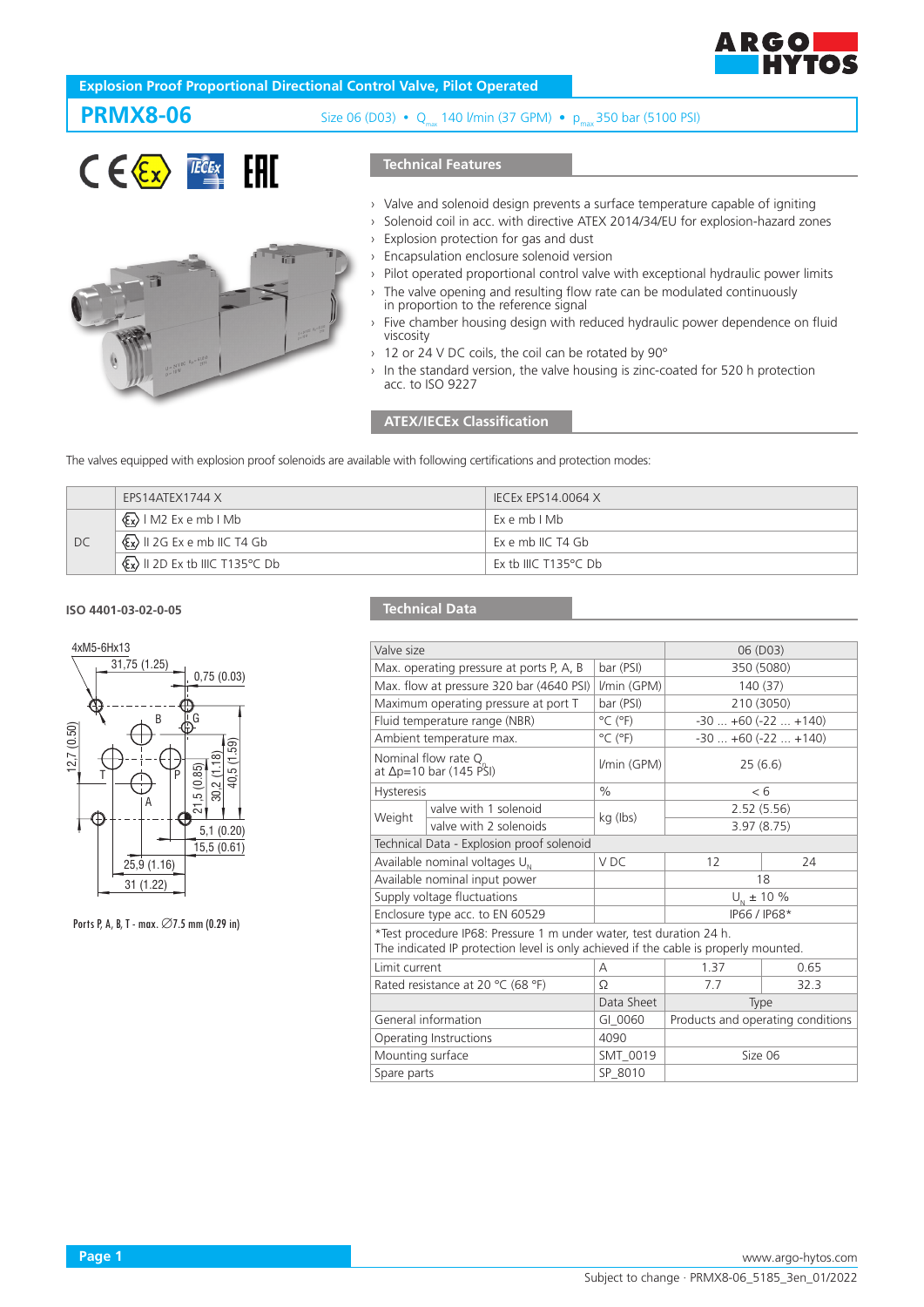

## **Explosion Proof Proportional Directional Control Valve, Pilot Operated**

ié.

**PRMX8-06** Size 06 (D03) • Qmax 140 l/min (37 GPM) • pmax 350 bar (5100 PSI)

#### $C \in \langle \overline{\epsilon_{x}} \rangle$  $\overline{IECE}$  $x$ FAT

### **Technical Features**

- › Valve and solenoid design prevents a surface temperature capable of igniting
- Solenoid coil in acc. with directive ATEX 2014/34/EU for explosion-hazard zones
- › Explosion protection for gas and dust
- › Encapsulation enclosure solenoid version
	- Pilot operated proportional control valve with exceptional hydraulic power limits
	- › The valve opening and resulting flow rate can be modulated continuously in proportion to the reference signal
- Five chamber housing design with reduced hydraulic power dependence on fluid viscosity
- › 12 or 24 V DC coils, the coil can be rotated by 90°
- In the standard version, the valve housing is zinc-coated for 520 h protection acc. to ISO 9227

### **ATEX/IECEx Classification**

The valves equipped with explosion proof solenoids are available with following certifications and protection modes:

|    | EPS14ATEX1744 X                                               | IECEX EPS14.0064 X             |
|----|---------------------------------------------------------------|--------------------------------|
|    | $\langle \xi_{\mathbf{x}} \rangle$   M2 Ex e mb   Mb          | ExembIMb                       |
| DC | $\langle x \rangle$ II 2G Ex e mb IIC T4 Gb                   | Ex e mb IIC T4 Gb              |
|    | $\langle \xi \overline{x} \rangle$ II 2D Ex tb IIIC T135°C Db | Ex tb IIIC T135 $\degree$ C Db |

#### **ISO 4401-03-02-0-05**



Ports P, A, B, T - max. ∅7.5 mm (0.29 in)

## **Technical Data**

|                                                         |                                                                                                                 | 06 (D03)                                                                                                                           |                                                                                                                                                             |  |
|---------------------------------------------------------|-----------------------------------------------------------------------------------------------------------------|------------------------------------------------------------------------------------------------------------------------------------|-------------------------------------------------------------------------------------------------------------------------------------------------------------|--|
| Max. operating pressure at ports P, A, B                |                                                                                                                 | 350 (5080)                                                                                                                         |                                                                                                                                                             |  |
| Max. flow at pressure 320 bar (4640 PSI)                |                                                                                                                 | 140 (37)                                                                                                                           |                                                                                                                                                             |  |
|                                                         | bar (PSI)                                                                                                       | 210 (3050)                                                                                                                         |                                                                                                                                                             |  |
|                                                         | $^{\circ}$ C ( $^{\circ}$ F)                                                                                    | $-30$ $+60$ ( $-22$ $+140$ )                                                                                                       |                                                                                                                                                             |  |
|                                                         | $^{\circ}$ C ( $^{\circ}$ F)                                                                                    | $-30+60(-22+140)$                                                                                                                  |                                                                                                                                                             |  |
| Nominal flow rate Q<br>at $\Delta p = 10$ bar (145 PSI) |                                                                                                                 | 25(6.6)                                                                                                                            |                                                                                                                                                             |  |
| <b>Hysteresis</b>                                       |                                                                                                                 | < 6                                                                                                                                |                                                                                                                                                             |  |
| valve with 1 solenoid                                   |                                                                                                                 | 2.52(5.56)                                                                                                                         |                                                                                                                                                             |  |
| valve with 2 solenoids                                  |                                                                                                                 | 3.97(8.75)                                                                                                                         |                                                                                                                                                             |  |
| Technical Data - Explosion proof solenoid               |                                                                                                                 |                                                                                                                                    |                                                                                                                                                             |  |
| Available nominal voltages U <sub>N</sub>               |                                                                                                                 | 12                                                                                                                                 | 24                                                                                                                                                          |  |
| Available nominal input power                           |                                                                                                                 | 18                                                                                                                                 |                                                                                                                                                             |  |
| Supply voltage fluctuations                             |                                                                                                                 | $U_{N}$ ± 10 %                                                                                                                     |                                                                                                                                                             |  |
| Enclosure type acc. to EN 60529                         |                                                                                                                 | IP66 / IP68*                                                                                                                       |                                                                                                                                                             |  |
|                                                         |                                                                                                                 |                                                                                                                                    |                                                                                                                                                             |  |
| Limit current                                           |                                                                                                                 | 1.37                                                                                                                               | 0.65                                                                                                                                                        |  |
| Rated resistance at 20 °C (68 °F)                       |                                                                                                                 | 7.7                                                                                                                                | 32.3                                                                                                                                                        |  |
|                                                         | Data Sheet                                                                                                      | Type                                                                                                                               |                                                                                                                                                             |  |
| General information                                     |                                                                                                                 | Products and operating conditions                                                                                                  |                                                                                                                                                             |  |
| Operating Instructions                                  |                                                                                                                 |                                                                                                                                    |                                                                                                                                                             |  |
| Mounting surface                                        |                                                                                                                 | Size 06                                                                                                                            |                                                                                                                                                             |  |
| Spare parts                                             |                                                                                                                 |                                                                                                                                    |                                                                                                                                                             |  |
|                                                         | Valve size<br>Maximum operating pressure at port T<br>Fluid temperature range (NBR)<br>Ambient temperature max. | bar (PSI)<br>I/min (GPM)<br>I/min (GPM)<br>$\%$<br>kg (lbs)<br>V <sub>DC</sub><br>А<br>Ω<br>GI 0060<br>4090<br>SMT_0019<br>SP 8010 | *Test procedure IP68: Pressure 1 m under water, test duration 24 h.<br>The indicated IP protection level is only achieved if the cable is properly mounted. |  |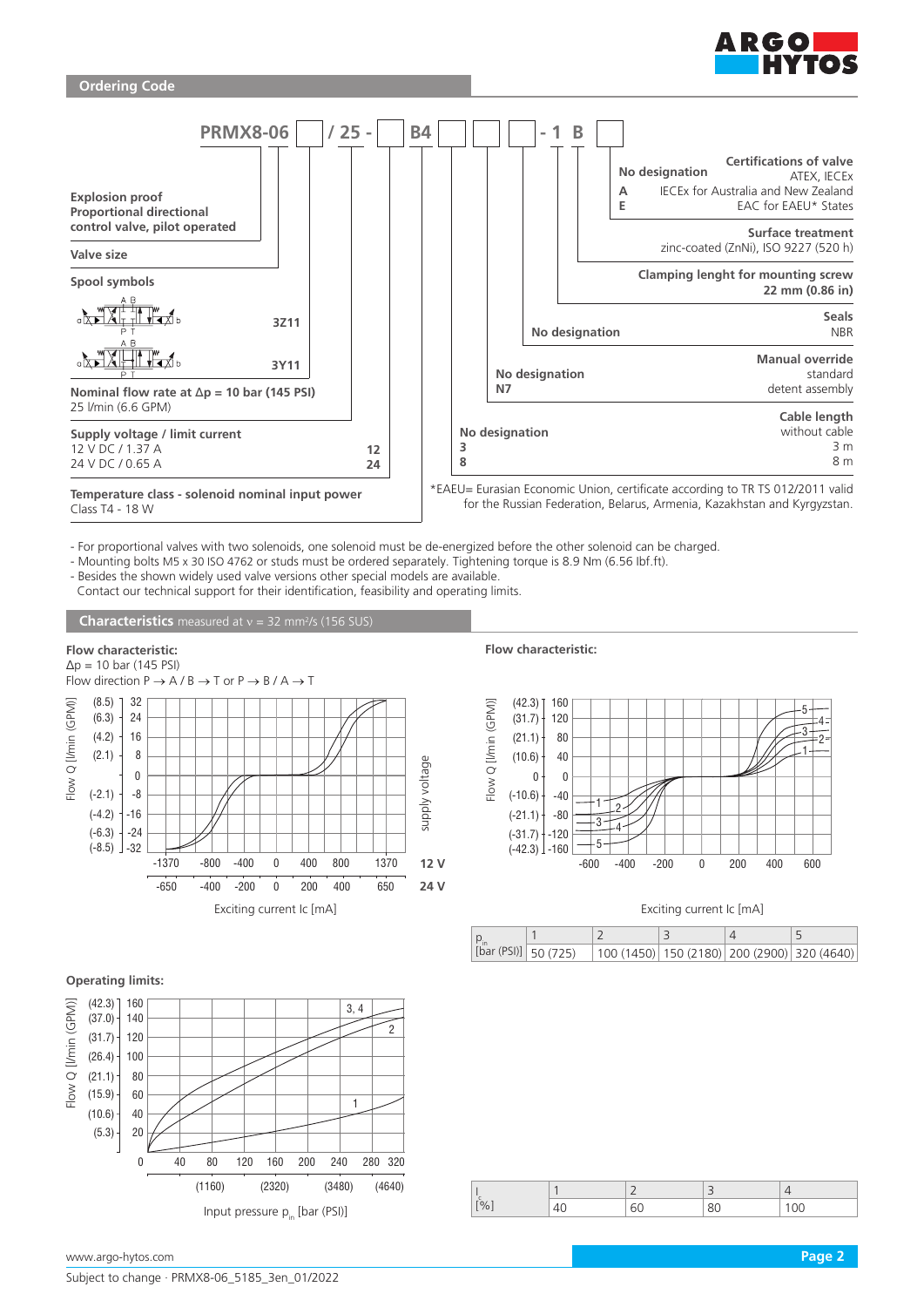



- For proportional valves with two solenoids, one solenoid must be de-energized before the other solenoid can be charged.

- Mounting bolts M5 x 30 ISO 4762 or studs must be ordered separately. Tightening torque is 8.9 Nm (6.56 Ibf.ft).

- Besides the shown widely used valve versions other special models are available. Contact our technical support for their identification, feasibility and operating limits.

**Characteristics** measured at v = 32 mm<sup>2</sup>/s (156 SUS)

**Flow characteristic:**



**Flow characteristic:**



#### Exciting current Ic [mA]

| [bar (PSI)] 50 (725) | $ 100(1450) 150(2180) 200(2900) 320(4640) $ |  |  |
|----------------------|---------------------------------------------|--|--|

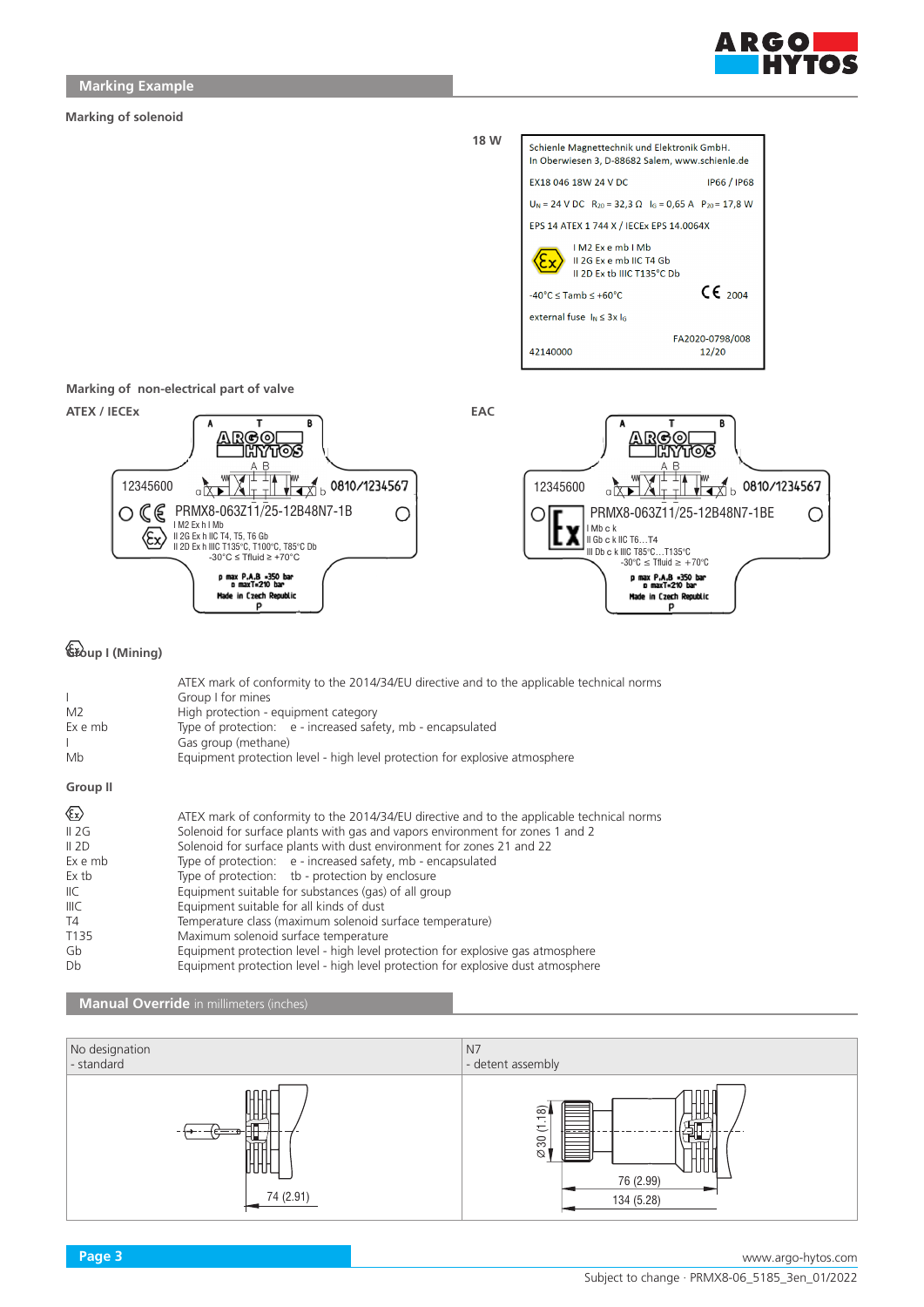

#### **Marking of solenoid**



**Marking of non-electrical part of valve**



# **Group I (Mining)**

| L<br>M <sub>2</sub><br>Ex e mb<br>Mb                                                                           | ATEX mark of conformity to the 2014/34/EU directive and to the applicable technical norms<br>Group I for mines<br>High protection - equipment category<br>Type of protection: e - increased safety, mb - encapsulated<br>Gas group (methane)<br>Equipment protection level - high level protection for explosive atmosphere                                                                                                                                                                                                                                                                                                                                                                                                                           |
|----------------------------------------------------------------------------------------------------------------|-------------------------------------------------------------------------------------------------------------------------------------------------------------------------------------------------------------------------------------------------------------------------------------------------------------------------------------------------------------------------------------------------------------------------------------------------------------------------------------------------------------------------------------------------------------------------------------------------------------------------------------------------------------------------------------------------------------------------------------------------------|
| <b>Group II</b>                                                                                                |                                                                                                                                                                                                                                                                                                                                                                                                                                                                                                                                                                                                                                                                                                                                                       |
| $\langle \xi_{\rm X} \rangle$<br>II 2G<br>II 2D<br>Ex e mb<br>Ex tb<br>IIC.<br>IIIC.<br>T4<br>T135<br>Gb<br>Db | ATEX mark of conformity to the 2014/34/EU directive and to the applicable technical norms<br>Solenoid for surface plants with gas and vapors environment for zones 1 and 2<br>Solenoid for surface plants with dust environment for zones 21 and 22<br>Type of protection: e - increased safety, mb - encapsulated<br>Type of protection: tb - protection by enclosure<br>Equipment suitable for substances (gas) of all group<br>Equipment suitable for all kinds of dust<br>Temperature class (maximum solenoid surface temperature)<br>Maximum solenoid surface temperature<br>Equipment protection level - high level protection for explosive gas atmosphere<br>Equipment protection level - high level protection for explosive dust atmosphere |

# **Manual Override** in millimeters (inches)